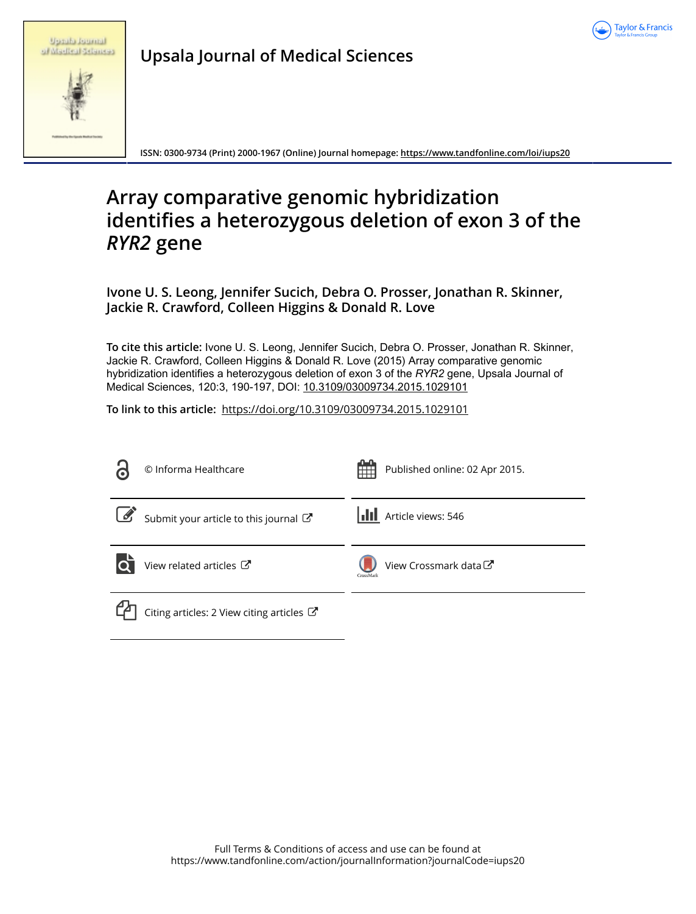

|  | <b>Up alla fournal</b> |  |
|--|------------------------|--|
|  | of Medical Sciences    |  |

**Upsala Journal of Medical Sciences**

**ISSN: 0300-9734 (Print) 2000-1967 (Online) Journal homepage:<https://www.tandfonline.com/loi/iups20>**

# **Array comparative genomic hybridization identifies a heterozygous deletion of exon 3 of the** *RYR2* **gene**

**Ivone U. S. Leong, Jennifer Sucich, Debra O. Prosser, Jonathan R. Skinner, Jackie R. Crawford, Colleen Higgins & Donald R. Love**

**To cite this article:** Ivone U. S. Leong, Jennifer Sucich, Debra O. Prosser, Jonathan R. Skinner, Jackie R. Crawford, Colleen Higgins & Donald R. Love (2015) Array comparative genomic hybridization identifies a heterozygous deletion of exon 3 of the *RYR2* gene, Upsala Journal of Medical Sciences, 120:3, 190-197, DOI: [10.3109/03009734.2015.1029101](https://www.tandfonline.com/action/showCitFormats?doi=10.3109/03009734.2015.1029101)

**To link to this article:** <https://doi.org/10.3109/03009734.2015.1029101>

| $\mathbf C$ | © Informa Healthcare                      | Published online: 02 Apr 2015.     |
|-------------|-------------------------------------------|------------------------------------|
| $\bigcup$   | Submit your article to this journal       | <b>III</b> Article views: 546      |
| lo          | View related articles C                   | View Crossmark data C<br>CrossMark |
|             | Citing articles: 2 View citing articles C |                                    |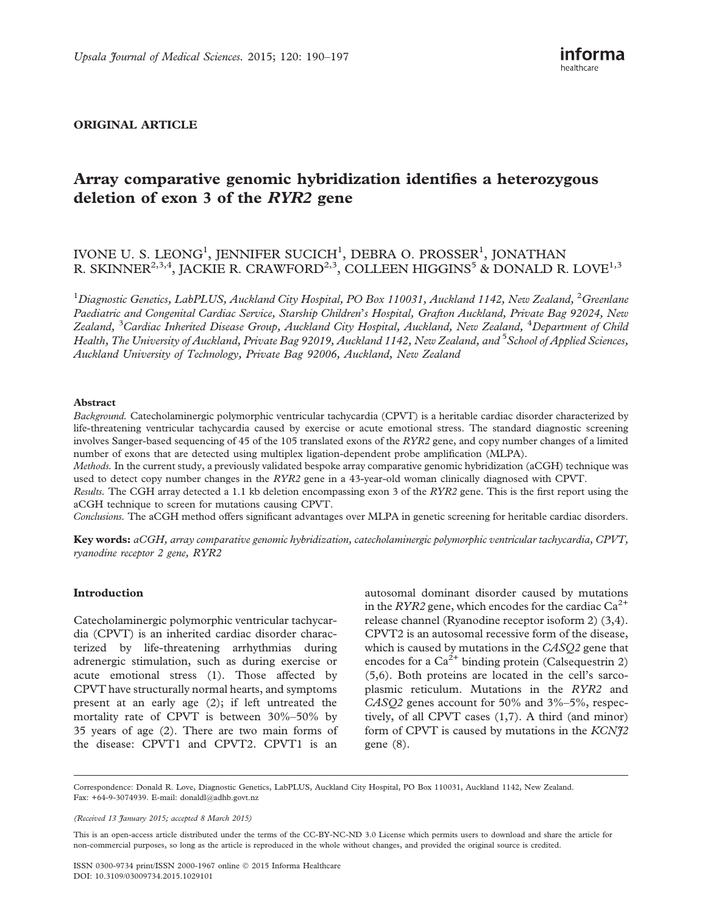# ORIGINAL ARTICLE

# Array comparative genomic hybridization identifies a heterozygous deletion of exon 3 of the RYR2 gene

# IVONE U. S. LEONG<sup>1</sup>, JENNIFER SUCICH<sup>1</sup>, DEBRA O. PROSSER<sup>1</sup>, JONATHAN R. SKINNER $^{2,3,4},$  JACKIE R. CRAWFORD $^{2,3},$  COLLEEN HIGGINS $^5$  & DONALD R. LOVE $^{1,3}$

 $^1$ Diagnostic Genetics, LabPLUS, Auckland City Hospital, PO Box 110031, Auckland 1142, New Zealand,  $^2$ Greenlane Paediatric and Congenital Cardiac Service, Starship Children's Hospital, Grafton Auckland, Private Bag 92024, New Zealand, <sup>3</sup>Cardiac Inherited Disease Group, Auckland City Hospital, Auckland, New Zealand, <sup>4</sup>Department of Child Health, The University of Auckland, Private Bag 92019, Auckland 1142, New Zealand, and <sup>5</sup> School of Applied Sciences, Auckland University of Technology, Private Bag 92006, Auckland, New Zealand

#### Abstract

Background. Catecholaminergic polymorphic ventricular tachycardia (CPVT) is a heritable cardiac disorder characterized by life-threatening ventricular tachycardia caused by exercise or acute emotional stress. The standard diagnostic screening involves Sanger-based sequencing of 45 of the 105 translated exons of the RYR2 gene, and copy number changes of a limited number of exons that are detected using multiplex ligation-dependent probe amplification (MLPA).

Methods. In the current study, a previously validated bespoke array comparative genomic hybridization (aCGH) technique was used to detect copy number changes in the RYR2 gene in a 43-year-old woman clinically diagnosed with CPVT.

Results. The CGH array detected a 1.1 kb deletion encompassing exon 3 of the RYR2 gene. This is the first report using the aCGH technique to screen for mutations causing CPVT.

Conclusions. The aCGH method offers significant advantages over MLPA in genetic screening for heritable cardiac disorders.

Key words: aCGH, array comparative genomic hybridization, catecholaminergic polymorphic ventricular tachycardia, CPVT, ryanodine receptor 2 gene, RYR2

## Introduction

Catecholaminergic polymorphic ventricular tachycardia (CPVT) is an inherited cardiac disorder characterized by life-threatening arrhythmias during adrenergic stimulation, such as during exercise or acute emotional stress [\(1\)](#page-7-0). Those affected by CPVT have structurally normal hearts, and symptoms present at an early age [\(2\)](#page-7-0); if left untreated the mortality rate of CPVT is between 30%–50% by 35 years of age [\(2](#page-7-0)). There are two main forms of the disease: CPVT1 and CPVT2. CPVT1 is an autosomal dominant disorder caused by mutations in the RYR2 gene, which encodes for the cardiac  $Ca^{2+}$ release channel (Ryanodine receptor isoform 2) [\(3,4\)](#page-7-0). CPVT2 is an autosomal recessive form of the disease, which is caused by mutations in the CASQ2 gene that encodes for a  $Ca^{2+}$  binding protein (Calsequestrin 2) ([5,6](#page-7-0)). Both proteins are located in the cell's sarcoplasmic reticulum. Mutations in the RYR2 and CASQ2 genes account for 50% and 3%–5%, respectively, of all CPVT cases ([1,7\)](#page-7-0). A third (and minor) form of CPVT is caused by mutations in the  $KCNf2$ gene [\(8](#page-8-0)).

Correspondence: Donald R. Love, Diagnostic Genetics, LabPLUS, Auckland City Hospital, PO Box 110031, Auckland 1142, New Zealand. Fax: +64-9-3074939. E-mail: [donaldl@adhb.govt.nz](mailto:donaldl@adhb.govt.nz)

(Received 13 January 2015; accepted 8 March 2015)

This is an open-access article distributed under the terms of the CC-BY-NC-ND 3.0 License which permits users to download and share the article for non-commercial purposes, so long as the article is reproduced in the whole without changes, and provided the original source is credited.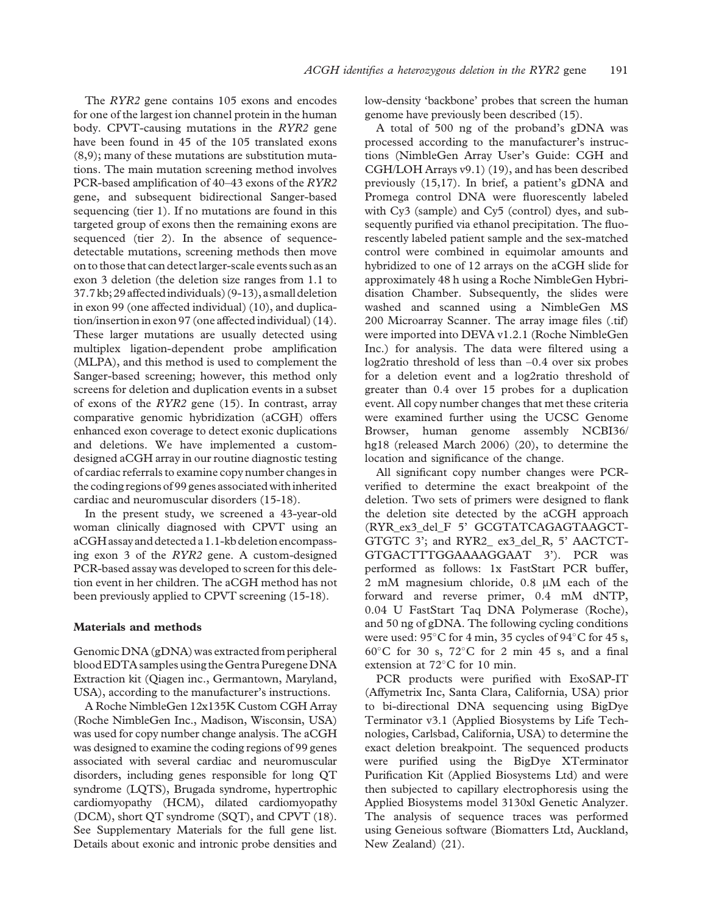The RYR2 gene contains 105 exons and encodes for one of the largest ion channel protein in the human body. CPVT-causing mutations in the RYR2 gene have been found in 45 of the 105 translated exons ([8,9](#page-8-0)); many of these mutations are substitution mutations. The main mutation screening method involves PCR-based amplification of 40–43 exons of the RYR2 gene, and subsequent bidirectional Sanger-based sequencing (tier 1). If no mutations are found in this targeted group of exons then the remaining exons are sequenced (tier 2). In the absence of sequencedetectable mutations, screening methods then move on to those that can detect larger-scale events such as an exon 3 deletion (the deletion size ranges from 1.1 to 37.7 kb;29affectedindividuals) ([9](#page-8-0)-[13\)](#page-8-0), a smalldeletion in exon 99 (one affected individual) ([10\)](#page-8-0), and duplication/insertion in exon 97 (one affected individual) [\(14\)](#page-8-0). These larger mutations are usually detected using multiplex ligation-dependent probe amplification (MLPA), and this method is used to complement the Sanger-based screening; however, this method only screens for deletion and duplication events in a subset of exons of the RYR2 gene [\(15\)](#page-8-0). In contrast, array comparative genomic hybridization (aCGH) offers enhanced exon coverage to detect exonic duplications and deletions. We have implemented a customdesigned aCGH array in our routine diagnostic testing of cardiac referrals to examine copy number changes in the coding regions of 99 genes associated with inherited cardiac and neuromuscular disorders [\(15-18](#page-8-0)).

In the present study, we screened a 43-year-old woman clinically diagnosed with CPVT using an aCGH assay and detected a 1.1-kb deletion encompassing exon 3 of the RYR2 gene. A custom-designed PCR-based assay was developed to screen for this deletion event in her children. The aCGH method has not been previously applied to CPVT screening [\(15](#page-8-0)-[18](#page-8-0)).

#### Materials and methods

Genomic DNA (gDNA) was extracted from peripheral bloodEDTA samples using the Gentra PuregeneDNA Extraction kit (Qiagen inc., Germantown, Maryland, USA), according to the manufacturer's instructions.

A Roche NimbleGen 12x135K Custom CGH Array (Roche NimbleGen Inc., Madison, Wisconsin, USA) was used for copy number change analysis. The aCGH was designed to examine the coding regions of 99 genes associated with several cardiac and neuromuscular disorders, including genes responsible for long QT syndrome (LQTS), Brugada syndrome, hypertrophic cardiomyopathy (HCM), dilated cardiomyopathy (DCM), short QT syndrome (SQT), and CPVT ([18](#page-8-0)). See Supplementary Materials for the full gene list. Details about exonic and intronic probe densities and low-density 'backbone' probes that screen the human genome have previously been described [\(15\)](#page-8-0).

A total of 500 ng of the proband's gDNA was processed according to the manufacturer's instructions (NimbleGen Array User's Guide: CGH and CGH/LOH Arrays v9.1) [\(19](#page-8-0)), and has been described previously ([15,17](#page-8-0)). In brief, a patient's gDNA and Promega control DNA were fluorescently labeled with Cy3 (sample) and Cy5 (control) dyes, and subsequently purified via ethanol precipitation. The fluorescently labeled patient sample and the sex-matched control were combined in equimolar amounts and hybridized to one of 12 arrays on the aCGH slide for approximately 48 h using a Roche NimbleGen Hybridisation Chamber. Subsequently, the slides were washed and scanned using a NimbleGen MS 200 Microarray Scanner. The array image files (.tif) were imported into DEVA v1.2.1 (Roche NimbleGen Inc.) for analysis. The data were filtered using a log2ratio threshold of less than –0.4 over six probes for a deletion event and a log2ratio threshold of greater than 0.4 over 15 probes for a duplication event. All copy number changes that met these criteria were examined further using the UCSC Genome Browser, human genome assembly NCBI36/ hg18 (released March 2006) [\(20](#page-8-0)), to determine the location and significance of the change.

All significant copy number changes were PCRverified to determine the exact breakpoint of the deletion. Two sets of primers were designed to flank the deletion site detected by the aCGH approach (RYR\_ex3\_del\_F 5' GCGTATCAGAGTAAGCT-GTGTC 3'; and RYR2\_ ex3\_del\_R, 5' AACTCT-GTGACTTTGGAAAAGGAAT 3'). PCR was performed as follows: 1x FastStart PCR buffer, 2 mM magnesium chloride,  $0.8 \mu M$  each of the forward and reverse primer, 0.4 mM dNTP, 0.04 U FastStart Taq DNA Polymerase (Roche), and 50 ng of gDNA. The following cycling conditions were used:  $95^{\circ}$ C for 4 min, 35 cycles of  $94^{\circ}$ C for 45 s,  $60^{\circ}$ C for 30 s,  $72^{\circ}$ C for 2 min 45 s, and a final extension at  $72^{\circ}$ C for 10 min.

PCR products were purified with ExoSAP-IT (Affymetrix Inc, Santa Clara, California, USA) prior to bi-directional DNA sequencing using BigDye Terminator v3.1 (Applied Biosystems by Life Technologies, Carlsbad, California, USA) to determine the exact deletion breakpoint. The sequenced products were purified using the BigDye XTerminator Purification Kit (Applied Biosystems Ltd) and were then subjected to capillary electrophoresis using the Applied Biosystems model 3130xl Genetic Analyzer. The analysis of sequence traces was performed using Geneious software (Biomatters Ltd, Auckland, New Zealand) [\(21](#page-8-0)).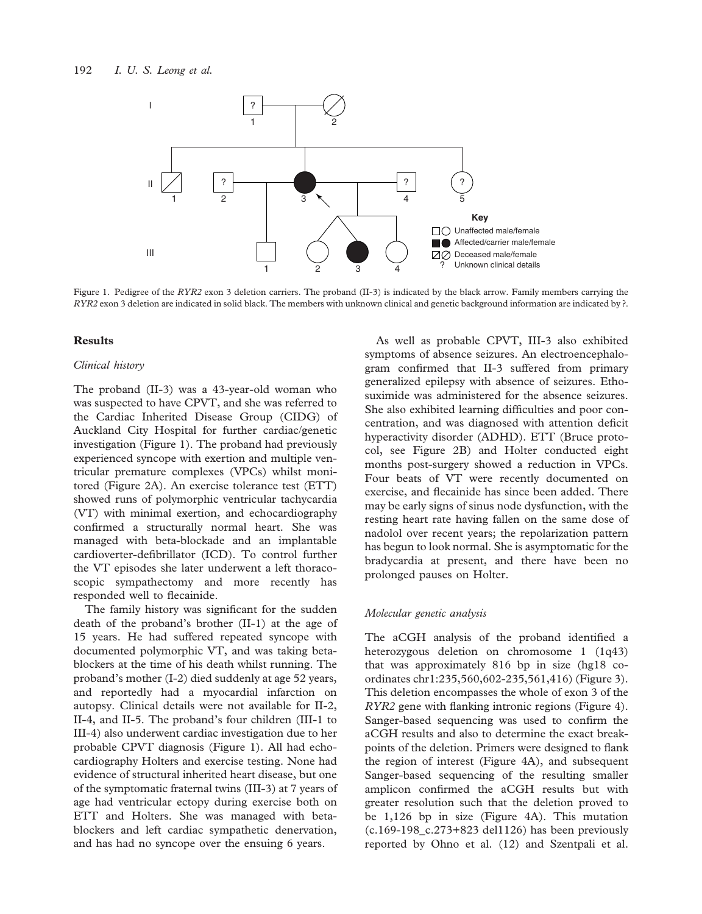

Figure 1. Pedigree of the RYR2 exon 3 deletion carriers. The proband (II-3) is indicated by the black arrow. Family members carrying the RYR2 exon 3 deletion are indicated in solid black. The members with unknown clinical and genetic background information are indicated by ?.

#### Results

#### Clinical history

The proband (II-3) was a 43-year-old woman who was suspected to have CPVT, and she was referred to the Cardiac Inherited Disease Group (CIDG) of Auckland City Hospital for further cardiac/genetic investigation (Figure 1). The proband had previously experienced syncope with exertion and multiple ventricular premature complexes (VPCs) whilst monitored ([Figure 2A\)](#page-4-0). An exercise tolerance test (ETT) showed runs of polymorphic ventricular tachycardia (VT) with minimal exertion, and echocardiography confirmed a structurally normal heart. She was managed with beta-blockade and an implantable cardioverter-defibrillator (ICD). To control further the VT episodes she later underwent a left thoracoscopic sympathectomy and more recently has responded well to flecainide.

The family history was significant for the sudden death of the proband's brother (II-1) at the age of 15 years. He had suffered repeated syncope with documented polymorphic VT, and was taking betablockers at the time of his death whilst running. The proband's mother (I-2) died suddenly at age 52 years, and reportedly had a myocardial infarction on autopsy. Clinical details were not available for II-2, II-4, and II-5. The proband's four children (III-1 to III-4) also underwent cardiac investigation due to her probable CPVT diagnosis (Figure 1). All had echocardiography Holters and exercise testing. None had evidence of structural inherited heart disease, but one of the symptomatic fraternal twins (III-3) at 7 years of age had ventricular ectopy during exercise both on ETT and Holters. She was managed with betablockers and left cardiac sympathetic denervation, and has had no syncope over the ensuing 6 years.

As well as probable CPVT, III-3 also exhibited symptoms of absence seizures. An electroencephalogram confirmed that II-3 suffered from primary generalized epilepsy with absence of seizures. Ethosuximide was administered for the absence seizures. She also exhibited learning difficulties and poor concentration, and was diagnosed with attention deficit hyperactivity disorder (ADHD). ETT (Bruce protocol, see [Figure 2B](#page-4-0)) and Holter conducted eight months post-surgery showed a reduction in VPCs. Four beats of VT were recently documented on exercise, and flecainide has since been added. There may be early signs of sinus node dysfunction, with the resting heart rate having fallen on the same dose of nadolol over recent years; the repolarization pattern has begun to look normal. She is asymptomatic for the bradycardia at present, and there have been no prolonged pauses on Holter.

# Molecular genetic analysis

The aCGH analysis of the proband identified a heterozygous deletion on chromosome 1 (1q43) that was approximately 816 bp in size (hg18 coordinates chr1:235,560,602-235,561,416) [\(Figure 3\)](#page-5-0). This deletion encompasses the whole of exon 3 of the RYR2 gene with flanking intronic regions [\(Figure 4\)](#page-6-0). Sanger-based sequencing was used to confirm the aCGH results and also to determine the exact breakpoints of the deletion. Primers were designed to flank the region of interest ([Figure 4A](#page-6-0)), and subsequent Sanger-based sequencing of the resulting smaller amplicon confirmed the aCGH results but with greater resolution such that the deletion proved to be 1,126 bp in size ([Figure 4A\)](#page-6-0). This mutation (c.169-198\_c.273+823 del1126) has been previously reported by Ohno et al. [\(12](#page-8-0)) and Szentpali et al.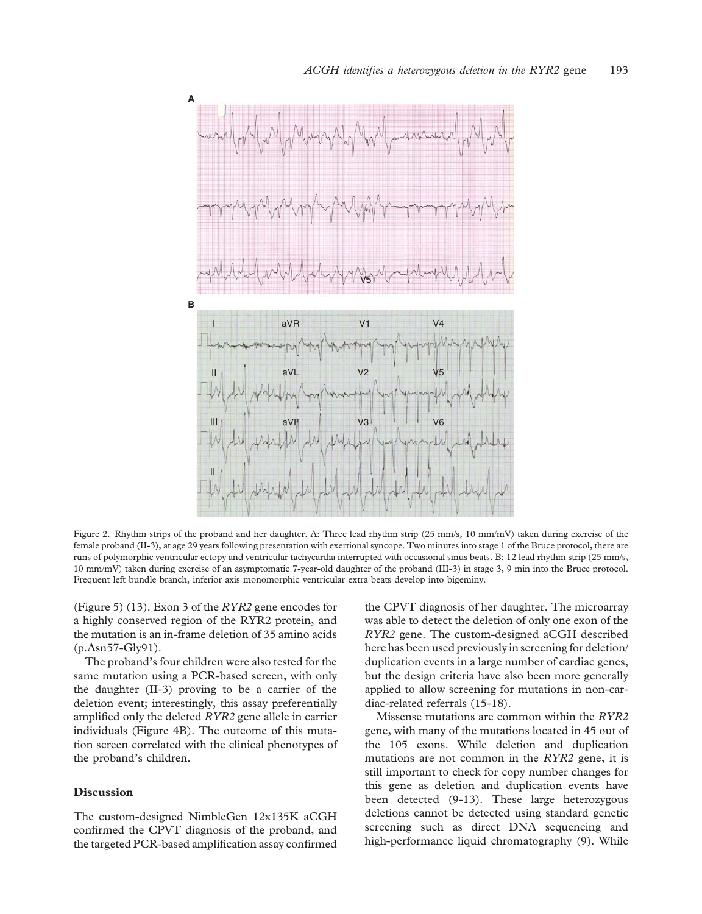<span id="page-4-0"></span>

Figure 2. Rhythm strips of the proband and her daughter. A: Three lead rhythm strip (25 mm/s, 10 mm/mV) taken during exercise of the female proband (II-3), at age 29 years following presentation with exertional syncope. Two minutes into stage 1 of the Bruce protocol, there are runs of polymorphic ventricular ectopy and ventricular tachycardia interrupted with occasional sinus beats. B: 12 lead rhythm strip (25 mm/s, 10 mm/mV) taken during exercise of an asymptomatic 7-year-old daughter of the proband (III-3) in stage 3, 9 min into the Bruce protocol. Frequent left bundle branch, inferior axis monomorphic ventricular extra beats develop into bigeminy.

([Figure 5\)](#page-6-0) [\(13](#page-8-0)). Exon 3 of the RYR2 gene encodes for a highly conserved region of the RYR2 protein, and the mutation is an in-frame deletion of 35 amino acids (p.Asn57-Gly91).

The proband's four children were also tested for the same mutation using a PCR-based screen, with only the daughter (II-3) proving to be a carrier of the deletion event; interestingly, this assay preferentially amplified only the deleted RYR2 gene allele in carrier individuals [\(Figure 4B](#page-6-0)). The outcome of this mutation screen correlated with the clinical phenotypes of the proband's children.

## Discussion

The custom-designed NimbleGen 12x135K aCGH confirmed the CPVT diagnosis of the proband, and the targeted PCR-based amplification assay confirmed the CPVT diagnosis of her daughter. The microarray was able to detect the deletion of only one exon of the RYR2 gene. The custom-designed aCGH described here has been used previously in screening for deletion/ duplication events in a large number of cardiac genes, but the design criteria have also been more generally applied to allow screening for mutations in non-cardiac-related referrals [\(15-18](#page-8-0)).

Missense mutations are common within the RYR2 gene, with many of the mutations located in 45 out of the 105 exons. While deletion and duplication mutations are not common in the RYR2 gene, it is still important to check for copy number changes for this gene as deletion and duplication events have been detected ([9](#page-8-0)-[13\)](#page-8-0). These large heterozygous deletions cannot be detected using standard genetic screening such as direct DNA sequencing and high-performance liquid chromatography [\(9\)](#page-8-0). While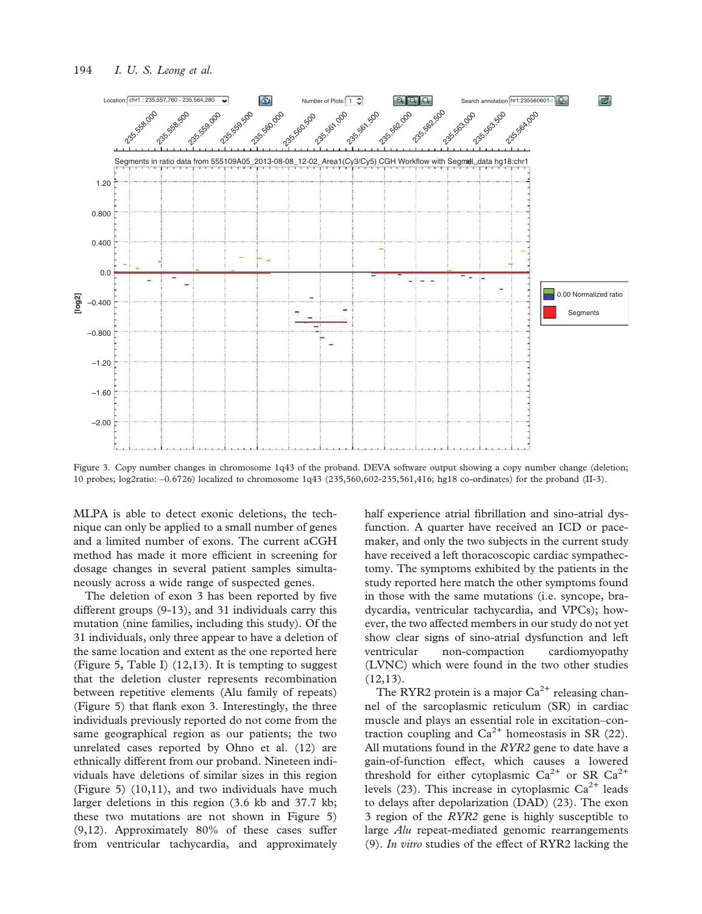<span id="page-5-0"></span>

Figure 3. Copy number changes in chromosome 1q43 of the proband. DEVA software output showing a copy number change (deletion; 10 probes; log2ratio: –0.6726) localized to chromosome 1q43 (235,560,602-235,561,416; hg18 co-ordinates) for the proband (II-3).

MLPA is able to detect exonic deletions, the technique can only be applied to a small number of genes and a limited number of exons. The current aCGH method has made it more efficient in screening for dosage changes in several patient samples simultaneously across a wide range of suspected genes.

The deletion of exon 3 has been reported by five different groups ([9](#page-8-0)-[13](#page-8-0)), and 31 individuals carry this mutation (nine families, including this study). Of the 31 individuals, only three appear to have a deletion of the same location and extent as the one reported here ([Figure 5](#page-6-0), [Table I](#page-7-0)) [\(12,13\)](#page-8-0). It is tempting to suggest that the deletion cluster represents recombination between repetitive elements (Alu family of repeats) ([Figure 5\)](#page-6-0) that flank exon 3. Interestingly, the three individuals previously reported do not come from the same geographical region as our patients; the two unrelated cases reported by Ohno et al. [\(12](#page-8-0)) are ethnically different from our proband. Nineteen individuals have deletions of similar sizes in this region ([Figure 5](#page-6-0)) [\(10,11\)](#page-8-0), and two individuals have much larger deletions in this region (3.6 kb and 37.7 kb; these two mutations are not shown in [Figure 5\)](#page-6-0) ([9,12\)](#page-8-0). Approximately 80% of these cases suffer from ventricular tachycardia, and approximately

half experience atrial fibrillation and sino-atrial dysfunction. A quarter have received an ICD or pacemaker, and only the two subjects in the current study have received a left thoracoscopic cardiac sympathectomy. The symptoms exhibited by the patients in the study reported here match the other symptoms found in those with the same mutations (i.e. syncope, bradycardia, ventricular tachycardia, and VPCs); however, the two affected members in our study do not yet show clear signs of sino-atrial dysfunction and left ventricular non-compaction cardiomyopathy (LVNC) which were found in the two other studies  $(12,13).$  $(12,13).$  $(12,13).$ 

The RYR2 protein is a major  $Ca^{2+}$  releasing channel of the sarcoplasmic reticulum (SR) in cardiac muscle and plays an essential role in excitation–contraction coupling and  $Ca^{2+}$  homeostasis in SR [\(22\)](#page-8-0). All mutations found in the  $RYR2$  gene to date have a gain-of-function effect, which causes a lowered threshold for either cytoplasmic  $Ca^{2+}$  or SR  $Ca^{2+}$ levels ([23\)](#page-8-0). This increase in cytoplasmic  $Ca^{2+}$  leads to delays after depolarization (DAD) [\(23](#page-8-0)). The exon 3 region of the RYR2 gene is highly susceptible to large Alu repeat-mediated genomic rearrangements ([9\)](#page-8-0). In vitro studies of the effect of RYR2 lacking the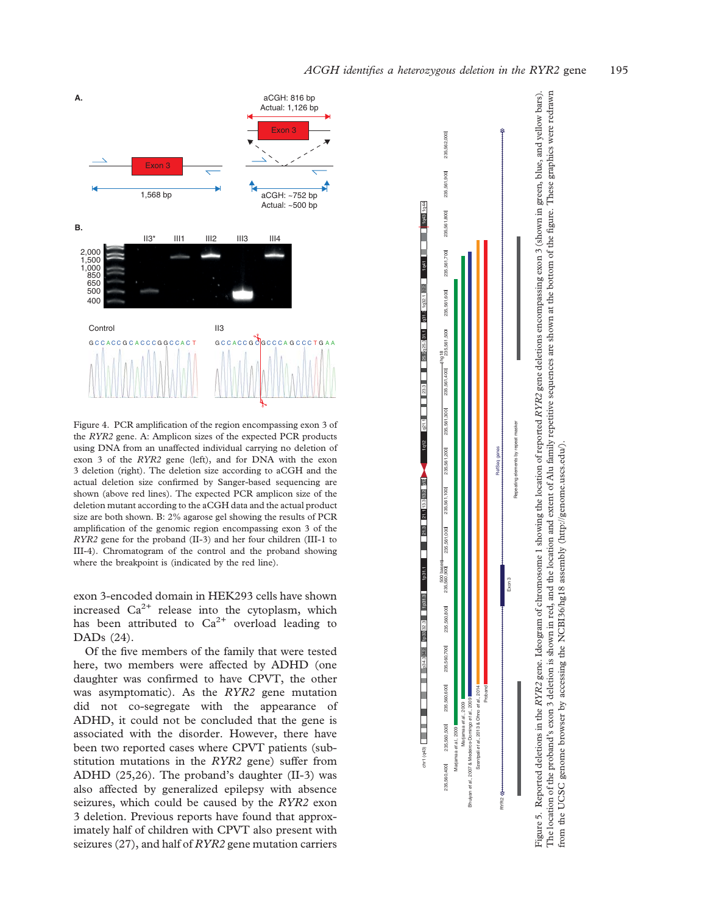<span id="page-6-0"></span>

Figure 4. PCR amplification of the region encompassing exon 3 of the RYR2 gene. A: Amplicon sizes of the expected PCR products using DNA from an unaffected individual carrying no deletion of exon 3 of the RYR2 gene (left), and for DNA with the exon 3 deletion (right). The deletion size according to aCGH and the actual deletion size confirmed by Sanger-based sequencing are shown (above red lines). The expected PCR amplicon size of the deletion mutant according to the aCGH data and the actual product size are both shown. B: 2% agarose gel showing the results of PCR amplification of the genomic region encompassing exon 3 of the RYR2 gene for the proband (II-3) and her four children (III-1 to III-4). Chromatogram of the control and the proband showing where the breakpoint is (indicated by the red line).

exon 3-encoded domain in HEK293 cells have shown increased  $Ca^{2+}$  release into the cytoplasm, which has been attributed to  $Ca^{2+}$  overload leading to DADs ([24\)](#page-8-0).

Of the five members of the family that were tested here, two members were affected by ADHD (one daughter was confirmed to have CPVT, the other was asymptomatic). As the RYR2 gene mutation did not co-segregate with the appearance of ADHD, it could not be concluded that the gene is associated with the disorder. However, there have been two reported cases where CPVT patients (substitution mutations in the RYR2 gene) suffer from ADHD ([25,26](#page-8-0)). The proband's daughter (II-3) was also affected by generalized epilepsy with absence seizures, which could be caused by the RYR2 exon 3 deletion. Previous reports have found that approximately half of children with CPVT also present with seizures [\(27\)](#page-8-0), and half of RYR2 gene mutation carriers



The location of the proband's exon 3 deletion is shown in red, and the location and extent of Alu family repetitive sequences are shown at the bottom of the figure. These graphics were redrawn The location of the proband's exon 3 deletion is shown in red, and the location and extent of Alu family repetitive sequences are shown at the bottom of the figure. These graphics were redrawn from the UCSC genome browser by accessing the NCBI36/hg18 assembly (http://genome.uscs.edu/). from the UCSC genome browser by accessing the NCBI36/hg18 assembly ([http://genome.uscs.edu/\)](http://genome.uscs.edu/).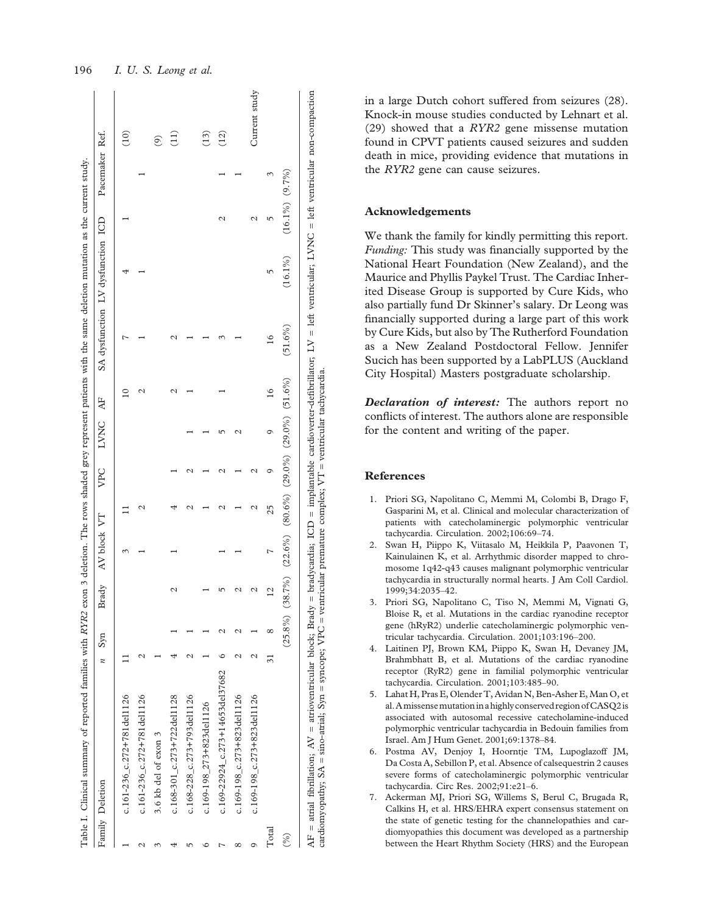|       | Family Deletion                     | $\boldsymbol{n}$               | Syn        | Brady          | AV block VT                                                                  |    | VPC | LVNC | Æ             | SA dysfunction LV dysfunction ICD |            |               | Pacemaker Ref.     |                         |
|-------|-------------------------------------|--------------------------------|------------|----------------|------------------------------------------------------------------------------|----|-----|------|---------------|-----------------------------------|------------|---------------|--------------------|-------------------------|
|       | c.161-236_c.272+781del1126          |                                |            |                |                                                                              |    |     |      |               |                                   |            |               |                    | (10)                    |
|       | $c.161 - 236$ $c.272 + 781$ del1126 |                                |            |                |                                                                              |    |     |      | ¢             |                                   |            |               |                    |                         |
|       | 3.6 kb del of exon 3                |                                |            |                |                                                                              |    |     |      |               |                                   |            |               |                    | $\widehat{\mathcal{O}}$ |
|       | $c.168 - 301$ $c.273 + 722$ del1128 |                                |            |                |                                                                              |    |     |      |               |                                   |            |               |                    | $\left(11\right)$       |
|       | c.168-228_c.273+793del1126          |                                |            |                |                                                                              |    |     |      |               |                                   |            |               |                    |                         |
|       | c.169-198_273+823del1126            |                                |            |                |                                                                              |    |     |      |               |                                   |            |               |                    | (13)                    |
|       | c.169-22924_c.273+14653del37682     |                                |            |                |                                                                              |    |     |      |               |                                   |            | $\mathcal{C}$ |                    | (12)                    |
| ∞     | c.169-198_c.273+823del1126          |                                |            |                |                                                                              |    |     |      |               |                                   |            |               |                    |                         |
| 0     | c.169-198 $c.273 + 823$ del1126     | Ν                              |            |                |                                                                              |    | ٢   |      |               |                                   |            | $\mathcal{C}$ |                    | Current study           |
| Total |                                     | $\overline{\widetilde{\cdot}}$ | $^{\circ}$ | $\overline{2}$ | r                                                                            | 25 | Ò   | O    | $\frac{6}{1}$ | $\frac{6}{1}$                     | 5          | 5             |                    |                         |
| (%)   |                                     |                                |            |                | $(25.8\%)$ $(38.7\%)$ $(22.6\%)$ $(80.6\%)$ $(29.0\%)$ $(29.0\%)$ $(51.6\%)$ |    |     |      |               | $(51.6\%)$                        | $(16.1\%)$ |               | $(16.1\%) (9.7\%)$ |                         |

<span id="page-7-0"></span>196 I. U. S. Leong et al.

in a large Dutch cohort suffered from seizures [\(28\)](#page-8-0). Knock-in mouse studies conducted by Lehnart et al. ([29](#page-8-0)) showed that a RYR2 gene missense mutation found in CPVT patients caused seizures and sudden death in mice, providing evidence that mutations in the RYR2 gene can cause seizures.

# Acknowledgements

We thank the family for kindly permitting this report. Funding: This study was financially supported by the National Heart Foundation (New Zealand), and the Maurice and Phyllis Paykel Trust. The Cardiac Inherited Disease Group is supported by Cure Kids, who also partially fund Dr Skinner's salary. Dr Leong was financially supported during a large part of this work by Cure Kids, but also by The Rutherford Foundation as a New Zealand Postdoctoral Fellow. Jennifer Sucich has been supported by a LabPLUS (Auckland City Hospital) Masters postgraduate scholarship.

Declaration of interest: The authors report no conflicts of interest. The authors alone are responsible for the content and writing of the paper.

#### References

- 1. Priori SG, Napolitano C, Memmi M, Colombi B, Drago F, Gasparini M, et al. [Clinical and molecular characterization of](http://www.ncbi.nlm.nih.gov/pubmed/12093772?dopt=Abstract) [patients with catecholaminergic polymorphic ventricular](http://www.ncbi.nlm.nih.gov/pubmed/12093772?dopt=Abstract) [tachycardia.](http://www.ncbi.nlm.nih.gov/pubmed/12093772?dopt=Abstract) Circulation. 2002;106:69–74.
- 2. Swan H, Piippo K, Viitasalo M, Heikkila P, Paavonen T, Kainulainen K, et al. [Arrhythmic disorder mapped to chro](http://www.ncbi.nlm.nih.gov/pubmed/10588221?dopt=Abstract)[mosome 1q42-q43 causes malignant polymorphic ventricular](http://www.ncbi.nlm.nih.gov/pubmed/10588221?dopt=Abstract) [tachycardia in structurally normal hearts.](http://www.ncbi.nlm.nih.gov/pubmed/10588221?dopt=Abstract) J Am Coll Cardiol. 1999;34:2035–42.
- 3. Priori SG, Napolitano C, Tiso N, Memmi M, Vignati G, Bloise R, et al. [Mutations in the cardiac ryanodine receptor](http://www.ncbi.nlm.nih.gov/pubmed/11208676?dopt=Abstract) [gene \(hRyR2\) underlie catecholaminergic polymorphic ven](http://www.ncbi.nlm.nih.gov/pubmed/11208676?dopt=Abstract)[tricular tachycardia](http://www.ncbi.nlm.nih.gov/pubmed/11208676?dopt=Abstract). Circulation. 2001;103:196–200.
- 4. Laitinen PJ, Brown KM, Piippo K, Swan H, Devaney JM, Brahmbhatt B, et al. [Mutations of the cardiac ryanodine](http://www.ncbi.nlm.nih.gov/pubmed/11157710?dopt=Abstract) [receptor \(RyR2\) gene in familial polymorphic ventricular](http://www.ncbi.nlm.nih.gov/pubmed/11157710?dopt=Abstract) [tachycardia.](http://www.ncbi.nlm.nih.gov/pubmed/11157710?dopt=Abstract) Circulation. 2001;103:485–90.
- 5. Lahat H, Pras E, Olender T, Avidan N, Ben-Asher E, Man O, et al.[Amissensemutationin a highly conserved region ofCASQ2is](http://www.ncbi.nlm.nih.gov/pubmed/11704930?dopt=Abstract) [associated with autosomal recessive catecholamine-induced](http://www.ncbi.nlm.nih.gov/pubmed/11704930?dopt=Abstract) [polymorphic ventricular tachycardia in Bedouin families from](http://www.ncbi.nlm.nih.gov/pubmed/11704930?dopt=Abstract) [Israel](http://www.ncbi.nlm.nih.gov/pubmed/11704930?dopt=Abstract). Am J Hum Genet. 2001;69:1378–84.
- 6. Postma AV, Denjoy I, Hoorntje TM, Lupoglazoff JM, Da Costa A, Sebillon P, et al. [Absence of calsequestrin 2 causes](http://www.ncbi.nlm.nih.gov/pubmed/12386154?dopt=Abstract) [severe forms of catecholaminergic polymorphic ventricular](http://www.ncbi.nlm.nih.gov/pubmed/12386154?dopt=Abstract) [tachycardia.](http://www.ncbi.nlm.nih.gov/pubmed/12386154?dopt=Abstract) Circ Res. 2002;91:e21–6.
- 7. Ackerman MJ, Priori SG, Willems S, Berul C, Brugada R, Calkins H, et al. [HRS/EHRA expert consensus statement on](http://www.ncbi.nlm.nih.gov/pubmed/21787999?dopt=Abstract) [the state of genetic testing for the channelopathies and car](http://www.ncbi.nlm.nih.gov/pubmed/21787999?dopt=Abstract)[diomyopathies this document was developed as a partnership](http://www.ncbi.nlm.nih.gov/pubmed/21787999?dopt=Abstract) [between the Heart Rhythm Society \(HRS\) and the European](http://www.ncbi.nlm.nih.gov/pubmed/21787999?dopt=Abstract)